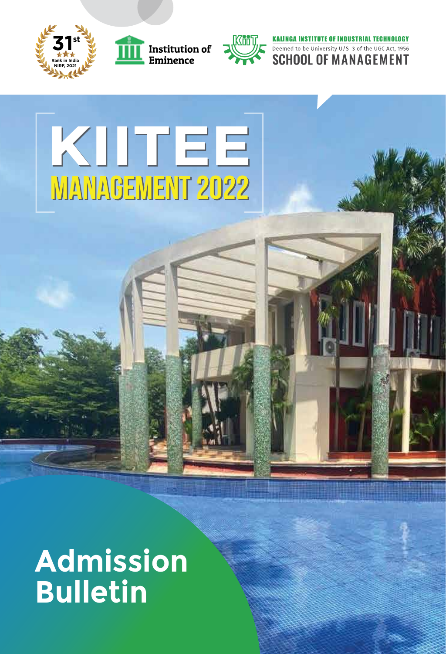





**KALINGA INSTITUTE OF INDUSTRIAL TECHNOLOGY** Deemed to be University U/S 3 of the UGC Act, 1956

# **KIITEE MANAGEMENT 2022**

# **Admission Bulletin**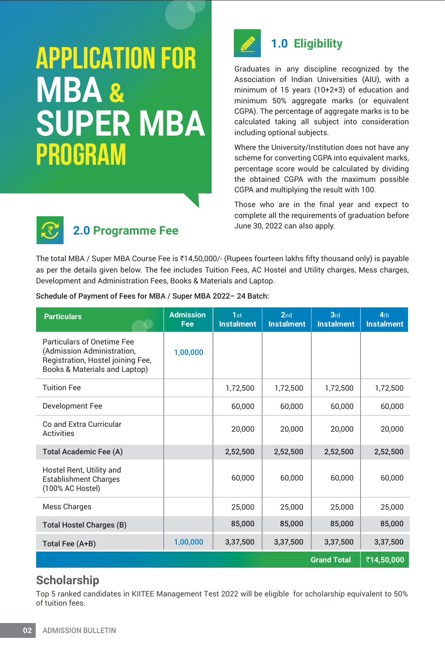# **APPLICATION FOR SUPER MBA PROGRAM MBA &**



# **1.0 Eligibility**

Graduates in any discipline recognized by the Association of Indian Universities (AIU), with a minimum of 15 years (10+2+3) of education and minimum 50% aggregate marks (or equivalent CGPA). The percentage of aggregate marks is to be calculated taking all subject into consideration including optional subjects.

Where the University/Institution does not have any scheme for converting CGPA into equivalent marks, percentage score would be calculated by dividing the obtained CGPA with the maximum possible CGPA and multiplying the result with 100.

Those who are in the final year and expect to complete all the requirements of graduation before June 30, 2022 can also apply.



# **2.0 Programme Fee**

The total MBA / Super MBA Course Fee is  $\bar{\xi}$ 14,50,000/- (Rupees fourteen lakhs fifty thousand only) is payable as per the details given below. The fee includes Tuition Fees, AC Hostel and Utility charges, Mess charges, Development and Administration Fees, Books & Materials and Laptop.

Schedule of Payment of Fees for MBA / Super MBA 2022– 24 Batch:

| <b>Particulars</b>                                                                                                             | <b>Admission</b><br><b>Fee</b> | 1st<br><b>Instalment</b> | 2 <sub>nd</sub><br><b>Instalment</b> | 3rd<br><b>Instalment</b> | 4 <sub>th</sub><br><b>Instalment</b> |
|--------------------------------------------------------------------------------------------------------------------------------|--------------------------------|--------------------------|--------------------------------------|--------------------------|--------------------------------------|
| Particulars of Onetime Fee<br>(Admission Administration,<br>Registration, Hostel joining Fee,<br>Books & Materials and Laptop) | 1,00,000                       |                          |                                      |                          |                                      |
| <b>Tuition Fee</b>                                                                                                             |                                | 1,72,500                 | 1,72,500                             | 1,72,500                 | 1,72,500                             |
| Development Fee                                                                                                                |                                | 60.000                   | 60,000                               | 60.000                   | 60,000                               |
| Co and Extra Curricular<br>Activities                                                                                          |                                | 20,000                   | 20,000                               | 20,000                   | 20,000                               |
| <b>Total Academic Fee (A)</b>                                                                                                  |                                | 2,52,500                 | 2,52,500                             | 2,52,500                 | 2,52,500                             |
| Hostel Rent, Utility and<br><b>Establishment Charges</b><br>(100% AC Hostel)                                                   |                                | 60,000                   | 60,000                               | 60,000                   | 60,000                               |
| Mess Charges                                                                                                                   |                                | 25,000                   | 25,000                               | 25,000                   | 25,000                               |
| <b>Total Hostel Charges (B)</b>                                                                                                |                                | 85,000                   | 85,000                               | 85,000                   | 85,000                               |
| Total Fee (A+B)                                                                                                                | 1,00,000                       | 3,37,500                 | 3,37,500                             | 3,37,500                 | 3,37,500                             |
|                                                                                                                                |                                |                          |                                      | <b>Grand Total</b>       | ₹14,50,000                           |

# **Scholarship**

Top 5 ranked candidates in KIITEE Management Test 2022 will be eligible for scholarship equivalent to 50% of tuition fees.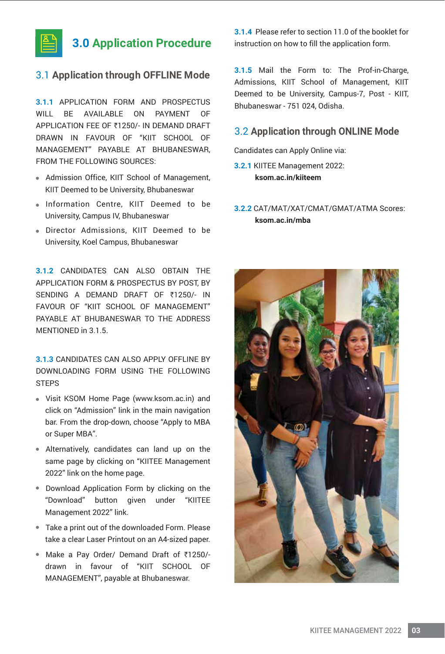

### **3.0 Application Procedure**

#### 3.1 **Application through OFFLINE Mode**

**3.1.1** APPLICATION FORM AND PROSPECTUS WILL BE AVAILABLE ON PAYMENT OF APPLICATION FEE OF ₹1250/- IN DEMAND DRAFT DRAWN IN FAVOUR OF "KIIT SCHOOL OF MANAGEMENT" PAYABLE AT BHUBANESWAR, FROM THE FOLLOWING SOURCES:

- Admission Office, KIIT School of Management, KIIT Deemed to be University, Bhubaneswar
- . Information Centre, KIIT Deemed to be University, Campus IV, Bhubaneswar
- Director Admissions, KIIT Deemed to be University, Koel Campus, Bhubaneswar

**3.1.2** CANDIDATES CAN ALSO OBTAIN THE APPLICATION FORM & PROSPECTUS BY POST, BY SENDING A DEMAND DRAFT OF ₹1250/- IN FAVOUR OF "KIIT SCHOOL OF MANAGEMENT" PAYABLE AT BHUBANESWAR TO THE ADDRESS MENTIONED in 3.1.5.

**3.1.3** CANDIDATES CAN ALSO APPLY OFFLINE BY DOWNLOADING FORM USING THE FOLLOWING **STEPS** 

- Visit KSOM Home Page (www.ksom.ac.in) and click on "Admission" link in the main navigation bar. From the drop-down, choose "Apply to MBA or Super MBA".
- Alternatively, candidates can land up on the same page by clicking on "KIITEE Management 2022" link on the home page.
- Download Application Form by clicking on the "Download" button given under "KIITEE Management 2022" link.
- Take a print out of the downloaded Form. Please take a clear Laser Printout on an A4-sized paper.
- Make a Pay Order/ Demand Draft of ₹1250/drawn in favour of "KIIT SCHOOL OF MANAGEMENT", payable at Bhubaneswar.

**3.1.4** Please refer to section 11.0 of the booklet for instruction on how to fill the application form.

**3.1.5** Mail the Form to: The Prof-in-Charge, Admissions, KIIT School of Management, KIIT Deemed to be University, Campus-7, Post - KIIT, Bhubaneswar - 751 024, Odisha.

#### 3.2 **Application through ONLINE Mode**

Candidates can Apply Online via:

- **3.2.1** KIITEE Management 2022:  **ksom.ac.in/kiiteem**
- **3.2.2** CAT/MAT/XAT/CMAT/GMAT/ATMA Scores: **ksom.ac.in/mba**

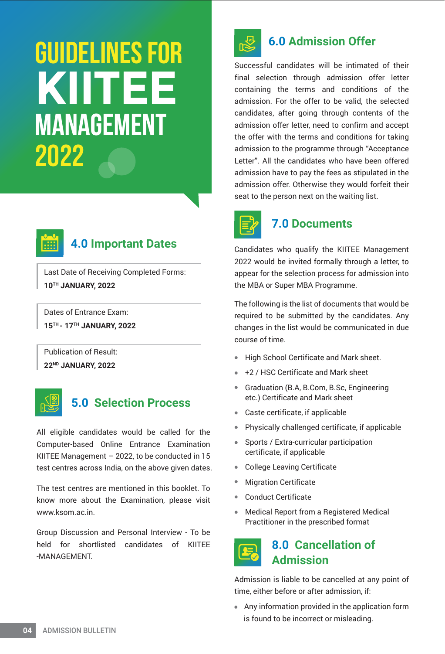# **MANAGEMENT 2022 GUIDELINES FOR KIITEE**



# **4.0 Important Dates**

Last Date of Receiving Completed Forms: **10TH JANUARY, 2022**

Dates of Entrance Exam: **15TH - 17TH JANUARY, 2022**

Publication of Result: **22ND JANUARY, 2022**



# **5.0 Selection Process**

All eligible candidates would be called for the Computer-based Online Entrance Examination KIITEE Management – 2022, to be conducted in 15 test centres across India, on the above given dates.

The test centres are mentioned in this booklet. To know more about the Examination, please visit www.ksom.ac.in.

Group Discussion and Personal Interview - To be held for shortlisted candidates of KIITEE -MANAGEMENT.



# **6.0 Admission Offer**

Successful candidates will be intimated of their final selection through admission offer letter containing the terms and conditions of the admission. For the offer to be valid, the selected candidates, after going through contents of the admission offer letter, need to confirm and accept the offer with the terms and conditions for taking admission to the programme through "Acceptance Letter". All the candidates who have been offered admission have to pay the fees as stipulated in the admission offer. Otherwise they would forfeit their seat to the person next on the waiting list.



### **7.0 Documents**

Candidates who qualify the KIITEE Management 2022 would be invited formally through a letter, to appear for the selection process for admission into the MBA or Super MBA Programme.

The following is the list of documents that would be required to be submitted by the candidates. Any changes in the list would be communicated in due course of time.

- High School Certificate and Mark sheet.
- +2 / HSC Certificate and Mark sheet
- Graduation (B.A, B.Com, B.Sc, Engineering etc.) Certificate and Mark sheet
- Caste certificate, if applicable
- Physically challenged certificate, if applicable
- Sports / Extra-curricular participation certificate, if applicable
- $\bullet$ College Leaving Certificate
- Migration Certificate
- Conduct Certificate
- $\bullet$ Medical Report from a Registered Medical Practitioner in the prescribed format

# **8.0 Cancellation of Admission**

Admission is liable to be cancelled at any point of time, either before or after admission, if:

 Any information provided in the application form is found to be incorrect or misleading.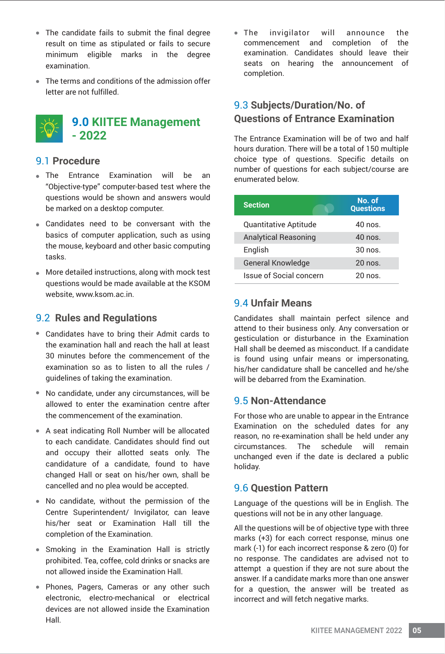- The candidate fails to submit the final degree result on time as stipulated or fails to secure minimum eligible marks in the degree examination.
- The terms and conditions of the admission offer letter are not fulfilled.



#### **9.0 KIITEE Management - 2022**

#### 9.1 **Procedure**

- The Entrance Examination will be an "Objective-type" computer-based test where the questions would be shown and answers would be marked on a desktop computer.
- Candidates need to be conversant with the basics of computer application, such as using the mouse, keyboard and other basic computing tasks.
- More detailed instructions, along with mock test questions would be made available at the KSOM website, www.ksom.ac.in.

#### 9.2 **Rules and Regulations**

- Candidates have to bring their Admit cards to the examination hall and reach the hall at least 30 minutes before the commencement of the examination so as to listen to all the rules / guidelines of taking the examination.
- No candidate, under any circumstances, will be allowed to enter the examination centre after the commencement of the examination.
- A seat indicating Roll Number will be allocated to each candidate. Candidates should find out and occupy their allotted seats only. The candidature of a candidate, found to have changed Hall or seat on his/her own, shall be cancelled and no plea would be accepted.
- No candidate, without the permission of the Centre Superintendent/ Invigilator, can leave his/her seat or Examination Hall till the completion of the Examination.
- Smoking in the Examination Hall is strictly prohibited. Tea, coffee, cold drinks or snacks are not allowed inside the Examination Hall.
- Phones, Pagers, Cameras or any other such electronic, electro-mechanical or electrical devices are not allowed inside the Examination Hall.

The invigilator will announce the commencement and completion of the examination. Candidates should leave their seats on hearing the announcement of completion.

#### 9.3 **Subjects/Duration/No. of Questions of Entrance Examination**

The Entrance Examination will be of two and half hours duration. There will be a total of 150 multiple choice type of questions. Specific details on number of questions for each subject/course are enumerated below.

| <b>Section</b>              | No. of<br><b>Questions</b> |
|-----------------------------|----------------------------|
| Quantitative Aptitude       | 40 nos.                    |
| <b>Analytical Reasoning</b> | $40 \text{ nos}$           |
| English                     | $30 \text{ nos}$           |
| <b>General Knowledge</b>    | $20 \text{ nos}$           |
| Issue of Social concern     | $20 \text{ nos}$           |

#### 9.4 **Unfair Means**

Candidates shall maintain perfect silence and attend to their business only. Any conversation or gesticulation or disturbance in the Examination Hall shall be deemed as misconduct. If a candidate is found using unfair means or impersonating, his/her candidature shall be cancelled and he/she will be debarred from the Examination.

#### 9.5 **Non-Attendance**

For those who are unable to appear in the Entrance Examination on the scheduled dates for any reason, no re-examination shall be held under any circumstances. The schedule will remain unchanged even if the date is declared a public holiday.

#### 9.6 **Question Pattern**

Language of the questions will be in English. The questions will not be in any other language.

All the questions will be of objective type with three marks (+3) for each correct response, minus one mark (-1) for each incorrect response & zero (0) for no response. The candidates are advised not to attempt a question if they are not sure about the answer. If a candidate marks more than one answer for a question, the answer will be treated as incorrect and will fetch negative marks.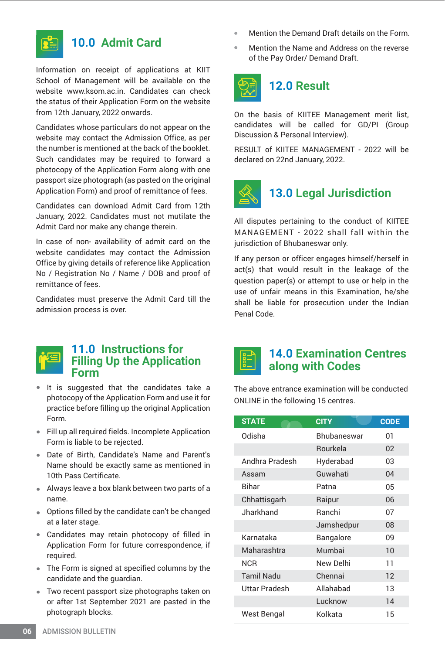

#### **10.0 Admit Card**

Information on receipt of applications at KIIT School of Management will be available on the website www.ksom.ac.in. Candidates can check the status of their Application Form on the website from 12th January, 2022 onwards.

Candidates whose particulars do not appear on the website may contact the Admission Office, as per the number is mentioned at the back of the booklet. Such candidates may be required to forward a photocopy of the Application Form along with one passport size photograph (as pasted on the original Application Form) and proof of remittance of fees.

Candidates can download Admit Card from 12th January, 2022. Candidates must not mutilate the Admit Card nor make any change therein.

In case of non- availability of admit card on the website candidates may contact the Admission Office by giving details of reference like Application No / Registration No / Name / DOB and proof of remittance of fees.

Candidates must preserve the Admit Card till the admission process is over.



#### **11.0 Instructions for Filling Up the Application Form**

- It is suggested that the candidates take a photocopy of the Application Form and use it for practice before filling up the original Application Form.
- Fill up all required fields. Incomplete Application Form is liable to be rejected.
- Date of Birth, Candidate's Name and Parent's Name should be exactly same as mentioned in 10th Pass Certificate.
- Always leave a box blank between two parts of a name.
- Options filled by the candidate can't be changed at a later stage.
- Candidates may retain photocopy of filled in Application Form for future correspondence, if required.
- The Form is signed at specified columns by the candidate and the guardian.
- Two recent passport size photographs taken on or after 1st September 2021 are pasted in the photograph blocks.
- Mention the Demand Draft details on the Form.
- Mention the Name and Address on the reverse  $\bullet$ of the Pay Order/ Demand Draft.



# **12.0 Result**

On the basis of KIITEE Management merit list, candidates will be called for GD/PI (Group Discussion & Personal Interview).

RESULT of KIITEE MANAGEMENT - 2022 will be declared on 22nd January, 2022.



### **13.0 Legal Jurisdiction**

All disputes pertaining to the conduct of KIITEE MANAGEMENT - 2022 shall fall within the jurisdiction of Bhubaneswar only.

If any person or officer engages himself/herself in act(s) that would result in the leakage of the question paper(s) or attempt to use or help in the use of unfair means in this Examination, he/she shall be liable for prosecution under the Indian Penal Code.

#### **14.0 Examination Centres along with Codes**

The above entrance examination will be conducted ONLINE in the following 15 centres.

| <b>STATE</b>      | <b>CITY</b>     | <b>CODE</b> |
|-------------------|-----------------|-------------|
| Odisha            | Bhubaneswar     | 01          |
|                   | <b>Rourkela</b> | 02          |
| Andhra Pradesh    | Hyderabad       | 03          |
| Assam             | Guwahati        | 04          |
| Bihar             | Patna           | 05          |
| Chhattisgarh      | Raipur          | 06          |
| <b>Jharkhand</b>  | Ranchi          | 07          |
|                   | Jamshedpur      | 08          |
| Karnataka         | Bangalore       | 09          |
| Maharashtra       | Mumbai          | 10          |
| <b>NCR</b>        | New Delhi       | 11          |
| <b>Tamil Nadu</b> | Chennai         | 12          |
| Uttar Pradesh     | Allahabad       | 13          |
|                   | Lucknow         | 14          |
| West Bengal       | Kolkata         | 15          |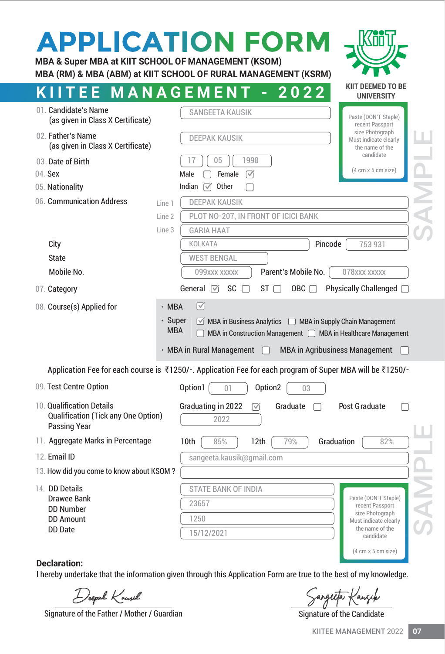| MBA & Super MBA at KIIT SCHOOL OF MANAGEMENT (KSOM)                                                                                                                                                 | <b>APPLICATION FORM</b><br>MBA (RM) & MBA (ABM) at KIIT SCHOOL OF RURAL MANAGEMENT (KSRM)                                                                                                                                                                  |                                                                                                                                                                          |  |  |
|-----------------------------------------------------------------------------------------------------------------------------------------------------------------------------------------------------|------------------------------------------------------------------------------------------------------------------------------------------------------------------------------------------------------------------------------------------------------------|--------------------------------------------------------------------------------------------------------------------------------------------------------------------------|--|--|
| MANAGEMEN<br>EE.                                                                                                                                                                                    | 2022                                                                                                                                                                                                                                                       | KIIT DEEMED TO BE<br><b>UNIVERSITY</b>                                                                                                                                   |  |  |
| 01. Candidate's Name<br>(as given in Class X Certificate)<br>02. Father's Name<br>(as given in Class X Certificate)<br>03. Date of Birth<br>04. Sex<br>05. Nationality<br>06. Communication Address | <b>SANGFFTA KAUSIK</b><br><b>DEEPAK KAUSIK</b><br>1998<br>05<br>Male<br>Female<br>$\triangledown$<br>Indian<br>Other<br>$\overline{\mathsf{M}}$<br><b>DEEPAK KAUSIK</b>                                                                                    | Paste (DON'T Staple)<br>recent Passport<br>size Photograph<br>Must indicate clearly<br>the name of the<br>candidate<br>$(4 \text{ cm} \times 5 \text{ cm} \text{ size})$ |  |  |
| Line 1<br>Line 2<br>Line 3                                                                                                                                                                          | PLOT NO-207, IN FRONT OF ICICI BANK<br><b>GARIA HAAT</b>                                                                                                                                                                                                   |                                                                                                                                                                          |  |  |
| City                                                                                                                                                                                                | Pincode<br>KOLKATA<br>753 931                                                                                                                                                                                                                              |                                                                                                                                                                          |  |  |
| State                                                                                                                                                                                               | <b>WEST BENGAL</b>                                                                                                                                                                                                                                         |                                                                                                                                                                          |  |  |
| Mobile No.                                                                                                                                                                                          | 099xxx xxxxx<br>Parent's Mobile No.                                                                                                                                                                                                                        | 078xxx xxxxx                                                                                                                                                             |  |  |
| 07. Category                                                                                                                                                                                        | <b>SC</b><br>General $\sqrt{ }$<br>ST I<br>$OBC \square$                                                                                                                                                                                                   | Physically Challenged □                                                                                                                                                  |  |  |
| 08. Course(s) Applied for<br>$·$ MBA<br>· Super<br><b>MBA</b>                                                                                                                                       | $\sqrt{ }$<br>$\triangledown$ MBA in Business Analytics $\triangledown$ MBA in Supply Chain Management<br>MBA in Construction Management   MBA in Healthcare Management<br>$\cdot$ MBA in Rural Management $\Box$<br><b>MBA in Agribusiness Management</b> |                                                                                                                                                                          |  |  |
|                                                                                                                                                                                                     | Application Fee for each course is ₹1250/-. Application Fee for each program of Super MBA will be ₹1250/-                                                                                                                                                  |                                                                                                                                                                          |  |  |
| 09. Test Centre Option                                                                                                                                                                              | Option1<br>Option2<br>01<br>03                                                                                                                                                                                                                             |                                                                                                                                                                          |  |  |
| 10. Qualification Details<br><b>Qualification (Tick any One Option)</b><br><b>Passing Year</b>                                                                                                      | Graduating in 2022<br>Graduate<br>$\triangledown$<br>2022                                                                                                                                                                                                  | Post Graduate                                                                                                                                                            |  |  |
| 11. Aggregate Marks in Percentage                                                                                                                                                                   | 10th<br>Graduation<br>85%<br>12th<br>79%                                                                                                                                                                                                                   | 82%                                                                                                                                                                      |  |  |
| 12. Email ID                                                                                                                                                                                        | sangeeta.kausik@gmail.com                                                                                                                                                                                                                                  |                                                                                                                                                                          |  |  |
| 13. How did you come to know about KSOM?                                                                                                                                                            |                                                                                                                                                                                                                                                            |                                                                                                                                                                          |  |  |
| 14. DD Details<br><b>Drawee Bank</b><br><b>DD Number</b><br><b>DD Amount</b><br><b>DD</b> Date                                                                                                      | STATE BANK OF INDIA<br>23657<br>1250<br>15/12/2021                                                                                                                                                                                                         | Paste (DON'T Staple)<br>recent Passport<br>size Photograph<br>Must indicate clearly<br>the name of the<br>candidate<br>$(4 \text{ cm} \times 5 \text{ cm} \text{ size})$ |  |  |
| <b>Declaration:</b>                                                                                                                                                                                 |                                                                                                                                                                                                                                                            |                                                                                                                                                                          |  |  |

I hereby undertake that the information given through this Application Form are true to the best of my knowledge.

Signature of the Father / Mother / Guardian

Deepak Kousik<br>
Exangeleta Kausik Sangeleta Kausik<br>
Signature of the Candidate